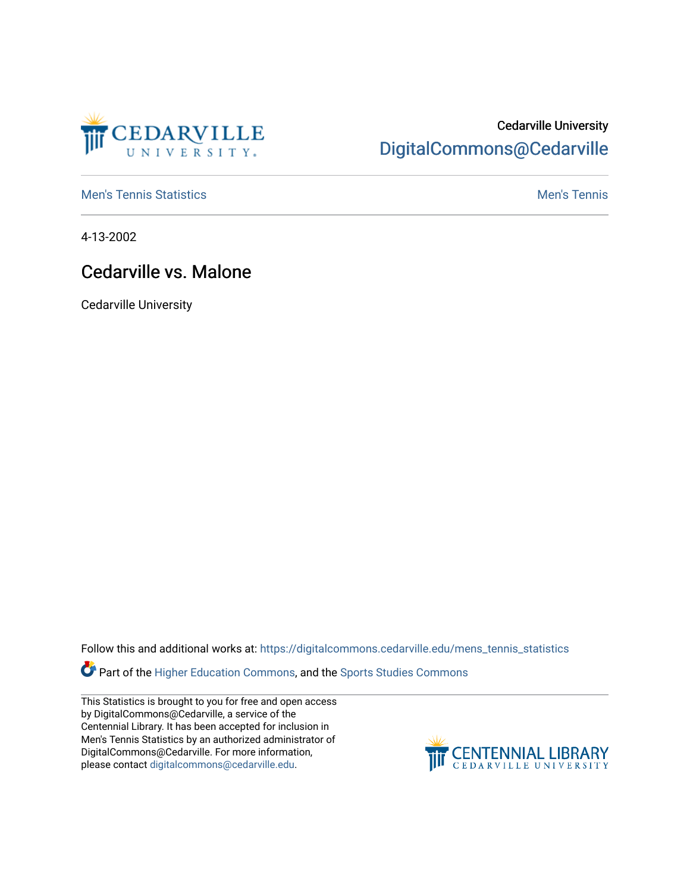

## Cedarville University [DigitalCommons@Cedarville](https://digitalcommons.cedarville.edu/)

**[Men's Tennis Statistics](https://digitalcommons.cedarville.edu/mens_tennis_statistics) Mental According to the Control of Control According Mental Men's Tennis** 

4-13-2002

## Cedarville vs. Malone

Cedarville University

Follow this and additional works at: [https://digitalcommons.cedarville.edu/mens\\_tennis\\_statistics](https://digitalcommons.cedarville.edu/mens_tennis_statistics?utm_source=digitalcommons.cedarville.edu%2Fmens_tennis_statistics%2F507&utm_medium=PDF&utm_campaign=PDFCoverPages)

Part of the [Higher Education Commons,](http://network.bepress.com/hgg/discipline/1245?utm_source=digitalcommons.cedarville.edu%2Fmens_tennis_statistics%2F507&utm_medium=PDF&utm_campaign=PDFCoverPages) and the [Sports Studies Commons](http://network.bepress.com/hgg/discipline/1198?utm_source=digitalcommons.cedarville.edu%2Fmens_tennis_statistics%2F507&utm_medium=PDF&utm_campaign=PDFCoverPages) 

This Statistics is brought to you for free and open access by DigitalCommons@Cedarville, a service of the Centennial Library. It has been accepted for inclusion in Men's Tennis Statistics by an authorized administrator of DigitalCommons@Cedarville. For more information, please contact [digitalcommons@cedarville.edu](mailto:digitalcommons@cedarville.edu).